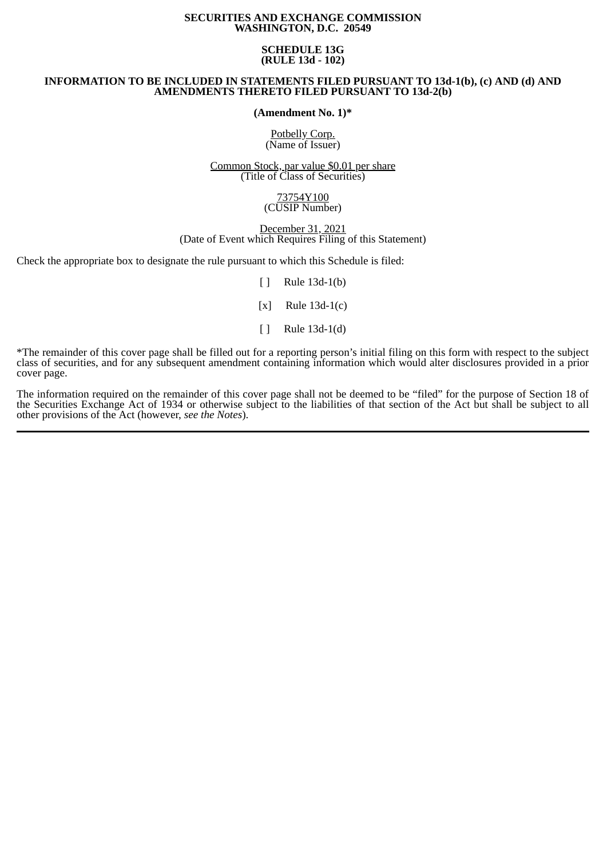### **SECURITIES AND EXCHANGE COMMISSION WASHINGTON, D.C. 20549**

## **SCHEDULE 13G (RULE 13d - 102)**

## **INFORMATION TO BE INCLUDED IN STATEMENTS FILED PURSUANT TO 13d-1(b), (c) AND (d) AND AMENDMENTS THERETO FILED PURSUANT TO 13d-2(b)**

## **(Amendment No. 1)\***

Potbelly Corp. (Name of Issuer)

Common Stock, par value \$0.01 per share (Title of Class of Securities)

### 73754Y100 (CUSIP Number)

### December 31, 2021 (Date of Event which Requires Filing of this Statement)

Check the appropriate box to designate the rule pursuant to which this Schedule is filed:

 $\lceil \rceil$  Rule 13d-1(b)

[x] Rule 13d-1(c)

[ ] Rule 13d-1(d)

\*The remainder of this cover page shall be filled out for a reporting person's initial filing on this form with respect to the subject class of securities, and for any subsequent amendment containing information which would alter disclosures provided in a prior cover page.

The information required on the remainder of this cover page shall not be deemed to be "filed" for the purpose of Section 18 of the Securities Exchange Act of 1934 or otherwise subject to the liabilities of that section of the Act but shall be subject to all other provisions of the Act (however, *see the Notes*).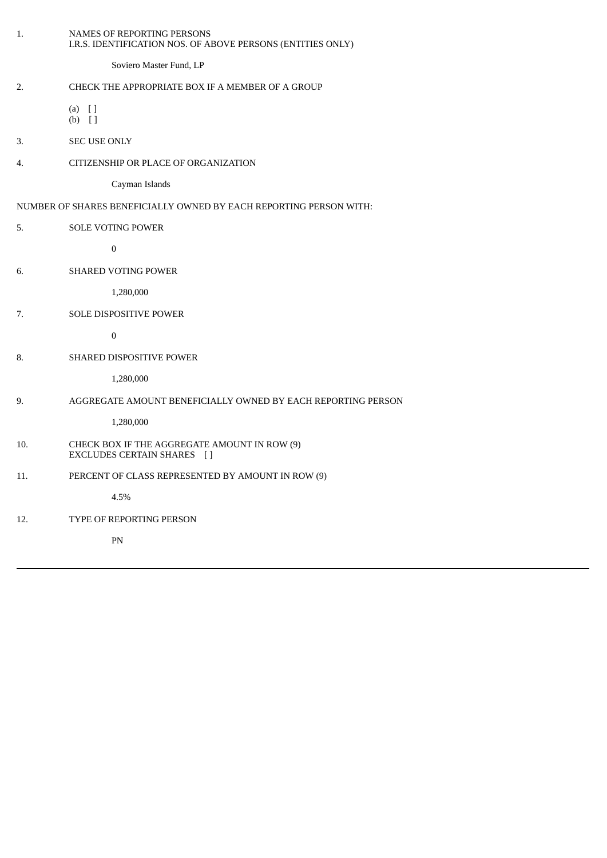| 1.  | NAMES OF REPORTING PERSONS<br>I.R.S. IDENTIFICATION NOS. OF ABOVE PERSONS (ENTITIES ONLY) |
|-----|-------------------------------------------------------------------------------------------|
|     | Soviero Master Fund, LP                                                                   |
| 2.  | CHECK THE APPROPRIATE BOX IF A MEMBER OF A GROUP                                          |
|     | $(a)$ []<br>$(b)$ []                                                                      |
| 3.  | <b>SEC USE ONLY</b>                                                                       |
| 4.  | CITIZENSHIP OR PLACE OF ORGANIZATION                                                      |
|     | Cayman Islands                                                                            |
|     | NUMBER OF SHARES BENEFICIALLY OWNED BY EACH REPORTING PERSON WITH:                        |
| 5.  | <b>SOLE VOTING POWER</b>                                                                  |
|     | $\boldsymbol{0}$                                                                          |
| 6.  | <b>SHARED VOTING POWER</b>                                                                |
|     | 1,280,000                                                                                 |
| 7.  | SOLE DISPOSITIVE POWER                                                                    |
|     | $\boldsymbol{0}$                                                                          |
| 8.  | SHARED DISPOSITIVE POWER                                                                  |
|     | 1,280,000                                                                                 |
| 9.  | AGGREGATE AMOUNT BENEFICIALLY OWNED BY EACH REPORTING PERSON                              |
|     | 1,280,000                                                                                 |
| 10. | CHECK BOX IF THE AGGREGATE AMOUNT IN ROW (9)<br>EXCLUDES CERTAIN SHARES []                |
| 11. | PERCENT OF CLASS REPRESENTED BY AMOUNT IN ROW (9)                                         |
|     | 4.5%                                                                                      |
| 12. | TYPE OF REPORTING PERSON                                                                  |
|     | ${\rm PN}$                                                                                |
|     |                                                                                           |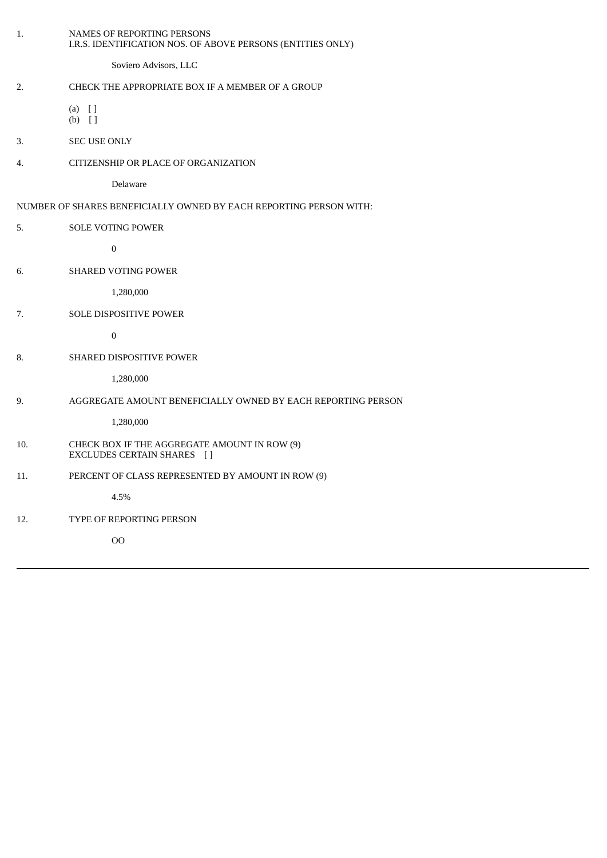| 1.  | NAMES OF REPORTING PERSONS<br>I.R.S. IDENTIFICATION NOS. OF ABOVE PERSONS (ENTITIES ONLY) |
|-----|-------------------------------------------------------------------------------------------|
|     | Soviero Advisors, LLC                                                                     |
| 2.  | CHECK THE APPROPRIATE BOX IF A MEMBER OF A GROUP                                          |
|     | $(a)$ []<br>$(b)$ []                                                                      |
| 3.  | <b>SEC USE ONLY</b>                                                                       |
| 4.  | CITIZENSHIP OR PLACE OF ORGANIZATION                                                      |
|     | Delaware                                                                                  |
|     | NUMBER OF SHARES BENEFICIALLY OWNED BY EACH REPORTING PERSON WITH:                        |
| 5.  | SOLE VOTING POWER                                                                         |
|     | $\pmb{0}$                                                                                 |
| 6.  | <b>SHARED VOTING POWER</b>                                                                |
|     | 1,280,000                                                                                 |
| 7.  | SOLE DISPOSITIVE POWER                                                                    |
|     | $\boldsymbol{0}$                                                                          |
| 8.  | SHARED DISPOSITIVE POWER                                                                  |
|     | 1,280,000                                                                                 |
| 9.  | AGGREGATE AMOUNT BENEFICIALLY OWNED BY EACH REPORTING PERSON                              |
|     | 1,280,000                                                                                 |
| 10. | CHECK BOX IF THE AGGREGATE AMOUNT IN ROW (9)<br>EXCLUDES CERTAIN SHARES []                |
| 11. | PERCENT OF CLASS REPRESENTED BY AMOUNT IN ROW (9)                                         |
|     | 4.5%                                                                                      |
| 12. | TYPE OF REPORTING PERSON                                                                  |
|     | O <sub>O</sub>                                                                            |
|     |                                                                                           |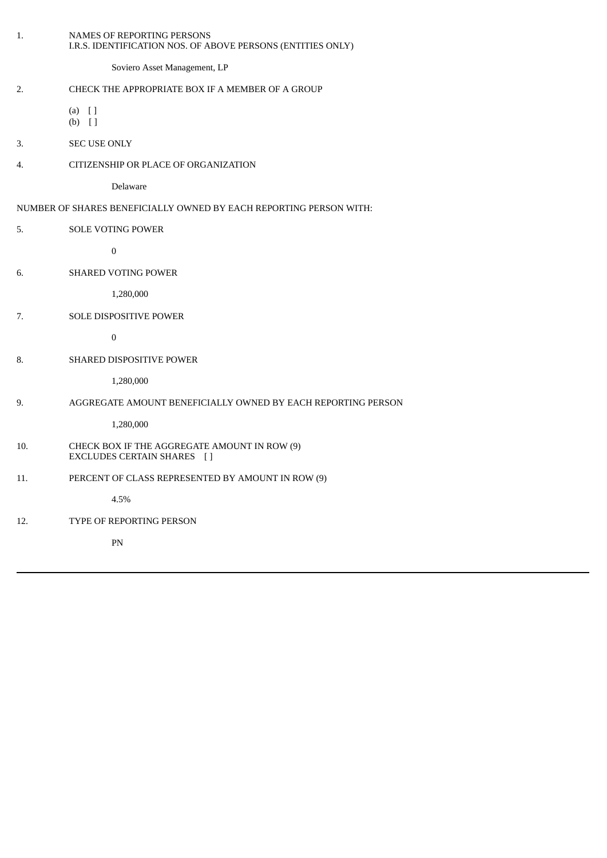| 1.  | NAMES OF REPORTING PERSONS<br>I.R.S. IDENTIFICATION NOS. OF ABOVE PERSONS (ENTITIES ONLY) |
|-----|-------------------------------------------------------------------------------------------|
|     | Soviero Asset Management, LP                                                              |
| 2.  | CHECK THE APPROPRIATE BOX IF A MEMBER OF A GROUP                                          |
|     | $(a)$ []<br>$(b)$ []                                                                      |
| 3.  | SEC USE ONLY                                                                              |
| 4.  | CITIZENSHIP OR PLACE OF ORGANIZATION                                                      |
|     | Delaware                                                                                  |
|     | NUMBER OF SHARES BENEFICIALLY OWNED BY EACH REPORTING PERSON WITH:                        |
| 5.  | <b>SOLE VOTING POWER</b>                                                                  |
|     | $\boldsymbol{0}$                                                                          |
| 6.  | <b>SHARED VOTING POWER</b>                                                                |
|     | 1,280,000                                                                                 |
| 7.  | SOLE DISPOSITIVE POWER                                                                    |
|     | $\boldsymbol{0}$                                                                          |
| 8.  | SHARED DISPOSITIVE POWER                                                                  |
|     | 1,280,000                                                                                 |
| 9.  | AGGREGATE AMOUNT BENEFICIALLY OWNED BY EACH REPORTING PERSON                              |
|     | 1,280,000                                                                                 |
| 10. | CHECK BOX IF THE AGGREGATE AMOUNT IN ROW (9)<br>EXCLUDES CERTAIN SHARES []                |
| 11. | PERCENT OF CLASS REPRESENTED BY AMOUNT IN ROW (9)                                         |
|     | 4.5%                                                                                      |
| 12. | TYPE OF REPORTING PERSON                                                                  |
|     | PN                                                                                        |
|     |                                                                                           |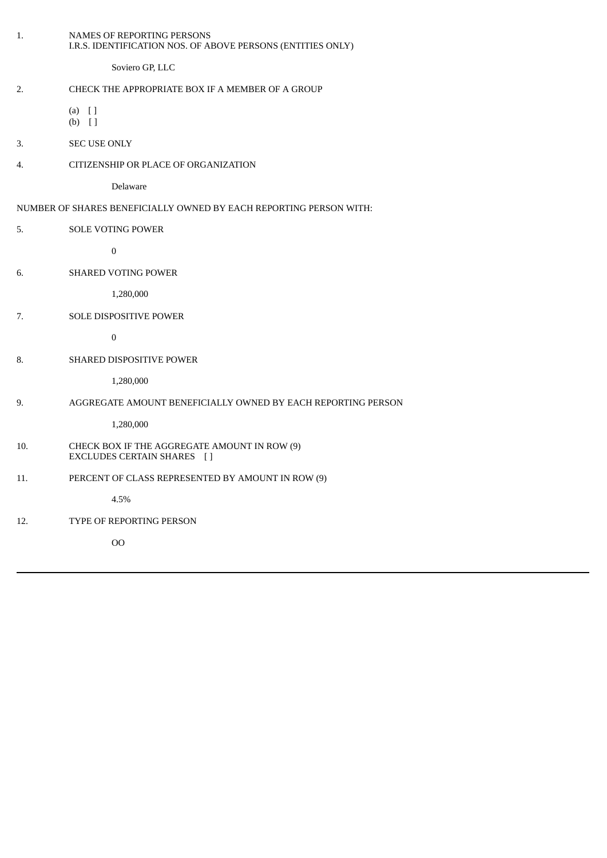| 1.  | NAMES OF REPORTING PERSONS<br>I.R.S. IDENTIFICATION NOS. OF ABOVE PERSONS (ENTITIES ONLY) |
|-----|-------------------------------------------------------------------------------------------|
|     | Soviero GP, LLC                                                                           |
| 2.  | CHECK THE APPROPRIATE BOX IF A MEMBER OF A GROUP                                          |
|     | $(a)$ []<br>$(b)$ []                                                                      |
| 3.  | SEC USE ONLY                                                                              |
| 4.  | CITIZENSHIP OR PLACE OF ORGANIZATION                                                      |
|     | Delaware                                                                                  |
|     | NUMBER OF SHARES BENEFICIALLY OWNED BY EACH REPORTING PERSON WITH:                        |
| 5.  | SOLE VOTING POWER                                                                         |
|     | $\pmb{0}$                                                                                 |
| 6.  | SHARED VOTING POWER                                                                       |
|     | 1,280,000                                                                                 |
| 7.  | SOLE DISPOSITIVE POWER                                                                    |
|     | $\boldsymbol{0}$                                                                          |
| 8.  | SHARED DISPOSITIVE POWER                                                                  |
|     | 1,280,000                                                                                 |
| 9.  | AGGREGATE AMOUNT BENEFICIALLY OWNED BY EACH REPORTING PERSON                              |
|     | 1,280,000                                                                                 |
| 10. | CHECK BOX IF THE AGGREGATE AMOUNT IN ROW (9)<br>EXCLUDES CERTAIN SHARES []                |
| 11. | PERCENT OF CLASS REPRESENTED BY AMOUNT IN ROW (9)                                         |
|     | 4.5%                                                                                      |
| 12. | TYPE OF REPORTING PERSON                                                                  |
|     | $_{\rm OO}$                                                                               |
|     |                                                                                           |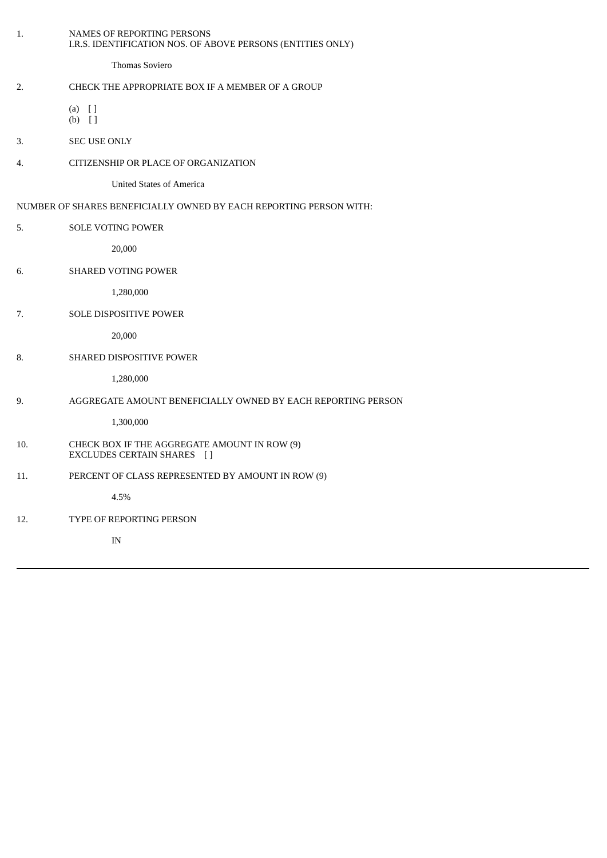| 1.  | NAMES OF REPORTING PERSONS<br>I.R.S. IDENTIFICATION NOS. OF ABOVE PERSONS (ENTITIES ONLY) |
|-----|-------------------------------------------------------------------------------------------|
|     | Thomas Soviero                                                                            |
| 2.  | CHECK THE APPROPRIATE BOX IF A MEMBER OF A GROUP                                          |
|     | $(a)$ []<br>$(b)$ []                                                                      |
| 3.  | <b>SEC USE ONLY</b>                                                                       |
| 4.  | CITIZENSHIP OR PLACE OF ORGANIZATION                                                      |
|     | <b>United States of America</b>                                                           |
|     | NUMBER OF SHARES BENEFICIALLY OWNED BY EACH REPORTING PERSON WITH:                        |
| 5.  | <b>SOLE VOTING POWER</b>                                                                  |
|     | 20,000                                                                                    |
| 6.  | <b>SHARED VOTING POWER</b>                                                                |
|     | 1,280,000                                                                                 |
| 7.  | SOLE DISPOSITIVE POWER                                                                    |
|     | 20,000                                                                                    |
| 8.  | SHARED DISPOSITIVE POWER                                                                  |
|     | 1,280,000                                                                                 |
| 9.  | AGGREGATE AMOUNT BENEFICIALLY OWNED BY EACH REPORTING PERSON                              |
|     | 1,300,000                                                                                 |
| 10. | CHECK BOX IF THE AGGREGATE AMOUNT IN ROW (9)<br>EXCLUDES CERTAIN SHARES [ ]               |
| 11. | PERCENT OF CLASS REPRESENTED BY AMOUNT IN ROW (9)                                         |
|     | 4.5%                                                                                      |
| 12. | TYPE OF REPORTING PERSON                                                                  |
|     | $\ensuremath{\text{IN}}$                                                                  |
|     |                                                                                           |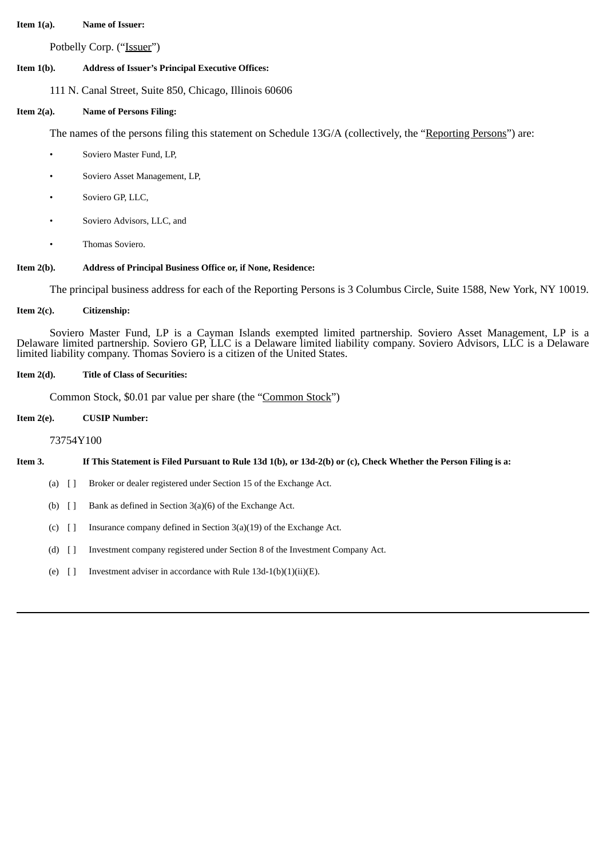### **Item 1(a). Name of Issuer:**

Potbelly Corp. ("Issuer")

## **Item 1(b). Address of Issuer's Principal Executive Offices:**

111 N. Canal Street, Suite 850, Chicago, Illinois 60606

## **Item 2(a). Name of Persons Filing:**

The names of the persons filing this statement on Schedule 13G/A (collectively, the "Reporting Persons") are:

- Soviero Master Fund, LP,
- Soviero Asset Management, LP,
- Soviero GP, LLC,
- Soviero Advisors, LLC, and
- Thomas Soviero.

## **Item 2(b). Address of Principal Business Office or, if None, Residence:**

The principal business address for each of the Reporting Persons is 3 Columbus Circle, Suite 1588, New York, NY 10019.

## **Item 2(c). Citizenship:**

Soviero Master Fund, LP is a Cayman Islands exempted limited partnership. Soviero Asset Management, LP is a Delaware limited partnership. Soviero GP, LLC is a Delaware limited liability company. Soviero Advisors, LLC is a Delaware limited liability company. Thomas Soviero is a citizen of the United States.

## **Item 2(d). Title of Class of Securities:**

Common Stock, \$0.01 par value per share (the "Common Stock")

## **Item 2(e). CUSIP Number:**

73754Y100

# Item 3. If This Statement is Filed Pursuant to Rule 13d 1(b), or 13d-2(b) or (c), Check Whether the Person Filing is a:

- (a) [ ] Broker or dealer registered under Section 15 of the Exchange Act.
- (b) [ ] Bank as defined in Section 3(a)(6) of the Exchange Act.
- (c) [ ] Insurance company defined in Section 3(a)(19) of the Exchange Act.
- (d) [ ] Investment company registered under Section 8 of the Investment Company Act.
- (e)  $\left[ \ \right]$  Investment adviser in accordance with Rule 13d-1(b)(1)(ii)(E).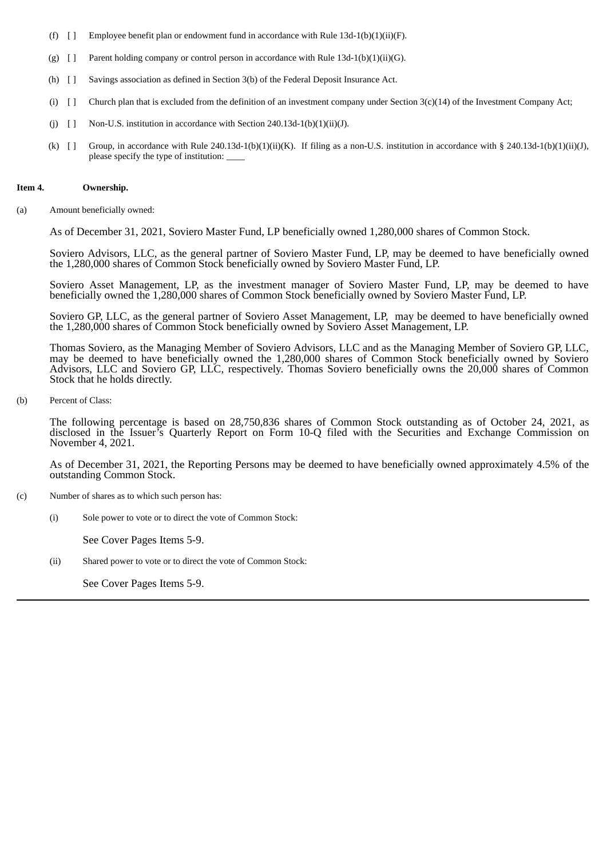- (f)  $\left[ \ \right]$  Employee benefit plan or endowment fund in accordance with Rule 13d-1(b)(1)(ii)(F).
- (g)  $[$  ] Parent holding company or control person in accordance with Rule 13d-1(b)(1)(ii)(G).
- (h) [ ] Savings association as defined in Section 3(b) of the Federal Deposit Insurance Act.
- (i) [ ] Church plan that is excluded from the definition of an investment company under Section 3(c)(14) of the Investment Company Act;
- (j)  $[$  ] Non-U.S. institution in accordance with Section 240.13d-1(b)(1)(ii)(J).
- (k)  $[$  Group, in accordance with Rule 240.13d-1(b)(1)(ii)(K). If filing as a non-U.S. institution in accordance with § 240.13d-1(b)(1)(ii)(J), please specify the type of institution: \_\_\_\_

#### **Item 4. Ownership.**

(a) Amount beneficially owned:

As of December 31, 2021, Soviero Master Fund, LP beneficially owned 1,280,000 shares of Common Stock.

Soviero Advisors, LLC, as the general partner of Soviero Master Fund, LP, may be deemed to have beneficially owned the 1,280,000 shares of Common Stock beneficially owned by Soviero Master Fund, LP.

Soviero Asset Management, LP, as the investment manager of Soviero Master Fund, LP, may be deemed to have beneficially owned the 1,280,000 shares of Common Stock beneficially owned by Soviero Master Fund, LP.

Soviero GP, LLC, as the general partner of Soviero Asset Management, LP, may be deemed to have beneficially owned the 1,280,000 shares of Common Stock beneficially owned by Soviero Asset Management, LP.

Thomas Soviero, as the Managing Member of Soviero Advisors, LLC and as the Managing Member of Soviero GP, LLC, may be deemed to have beneficially owned the 1,280,000 shares of Common Stock beneficially owned by Soviero Advisors, LLC and Soviero GP, LLC, respectively. Thomas Soviero beneficially owns the 20,000 shares of Common Stock that he holds directly.

(b) Percent of Class:

The following percentage is based on 28,750,836 shares of Common Stock outstanding as of October 24, 2021, as disclosed in the Issuer's Quarterly Report on Form 10-Q filed with the Securities and Exchange Commission on November 4, 2021.

As of December 31, 2021, the Reporting Persons may be deemed to have beneficially owned approximately 4.5% of the outstanding Common Stock.

- (c) Number of shares as to which such person has:
	- (i) Sole power to vote or to direct the vote of Common Stock:

See Cover Pages Items 5-9.

(ii) Shared power to vote or to direct the vote of Common Stock:

See Cover Pages Items 5-9.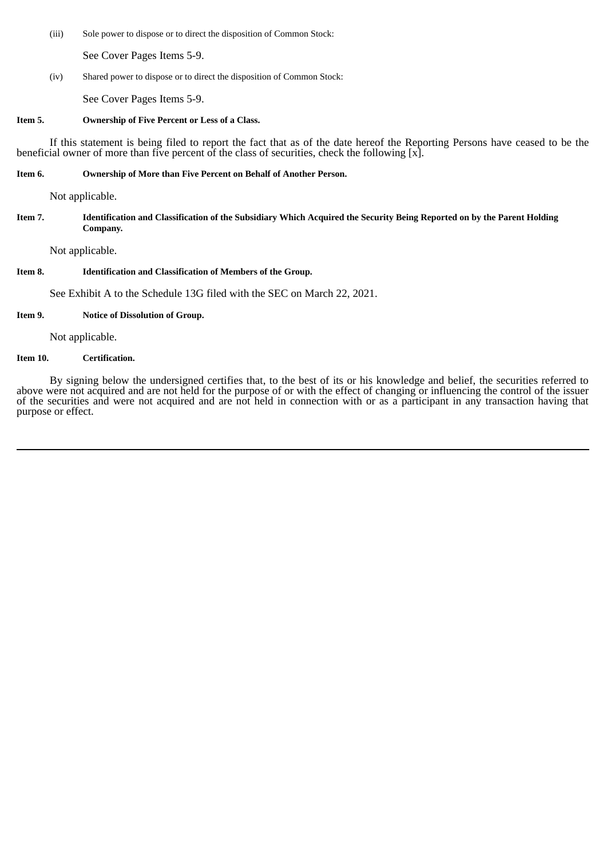(iii) Sole power to dispose or to direct the disposition of Common Stock:

See Cover Pages Items 5-9.

(iv) Shared power to dispose or to direct the disposition of Common Stock:

See Cover Pages Items 5-9.

#### **Item 5. Ownership of Five Percent or Less of a Class.**

If this statement is being filed to report the fact that as of the date hereof the Reporting Persons have ceased to be the beneficial owner of more than five percent of the class of securities, check the following  $[x]$ .

### **Item 6. Ownership of More than Five Percent on Behalf of Another Person.**

Not applicable.

Item 7. Identification and Classification of the Subsidiary Which Acquired the Security Being Reported on by the Parent Holding **Company.**

Not applicable.

## **Item 8. Identification and Classification of Members of the Group.**

See Exhibit A to the Schedule 13G filed with the SEC on March 22, 2021.

## **Item 9. Notice of Dissolution of Group.**

Not applicable.

### **Item 10. Certification.**

By signing below the undersigned certifies that, to the best of its or his knowledge and belief, the securities referred to above were not acquired and are not held for the purpose of or with the effect of changing or influencing the control of the issuer of the securities and were not acquired and are not held in connection with or as a participant in any transaction having that purpose or effect.